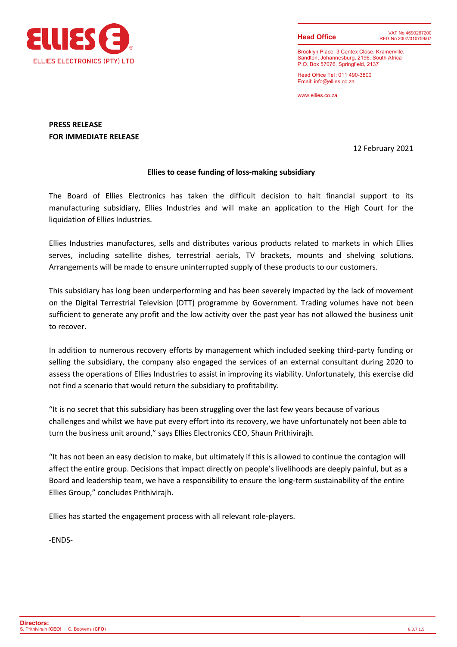

**Head Office**

Brooklyn Place, 3 Centex Close. Kramerville, Sandton, Johannesburg, 2196, South Africa P.O. Box 57076, Springfield, 2137

Head Office Tel : 011 490-3800 Email: info@ellies.co.za

www.ellies.co.za

# **PRESS RELEASE FOR IMMEDIATE RELEASE**

12 February 2021

### **Ellies to cease funding of loss-making subsidiary**

The Board of Ellies Electronics has taken the difficult decision to halt financial support to its manufacturing subsidiary, Ellies Industries and will make an application to the High Court for the liquidation of Ellies Industries.

Ellies Industries manufactures, sells and distributes various products related to markets in which Ellies serves, including satellite dishes, terrestrial aerials, TV brackets, mounts and shelving solutions. Arrangements will be made to ensure uninterrupted supply of these products to our customers.

This subsidiary has long been underperforming and has been severely impacted by the lack of movement on the Digital Terrestrial Television (DTT) programme by Government. Trading volumes have not been sufficient to generate any profit and the low activity over the past year has not allowed the business unit to recover.

In addition to numerous recovery efforts by management which included seeking third-party funding or selling the subsidiary, the company also engaged the services of an external consultant during 2020 to assess the operations of Ellies Industries to assist in improving its viability. Unfortunately, this exercise did not find a scenario that would return the subsidiary to profitability.

"It is no secret that this subsidiary has been struggling over the last few years because of various challenges and whilst we have put every effort into its recovery, we have unfortunately not been able to turn the business unit around," says Ellies Electronics CEO, Shaun Prithivirajh*.*

"It has not been an easy decision to make, but ultimately if this is allowed to continue the contagion will affect the entire group. Decisions that impact directly on people's livelihoods are deeply painful, but as a Board and leadership team, we have a responsibility to ensure the long-term sustainability of the entire Ellies Group," concludes Prithivirajh.

Ellies has started the engagement process with all relevant role-players.

-ENDS-